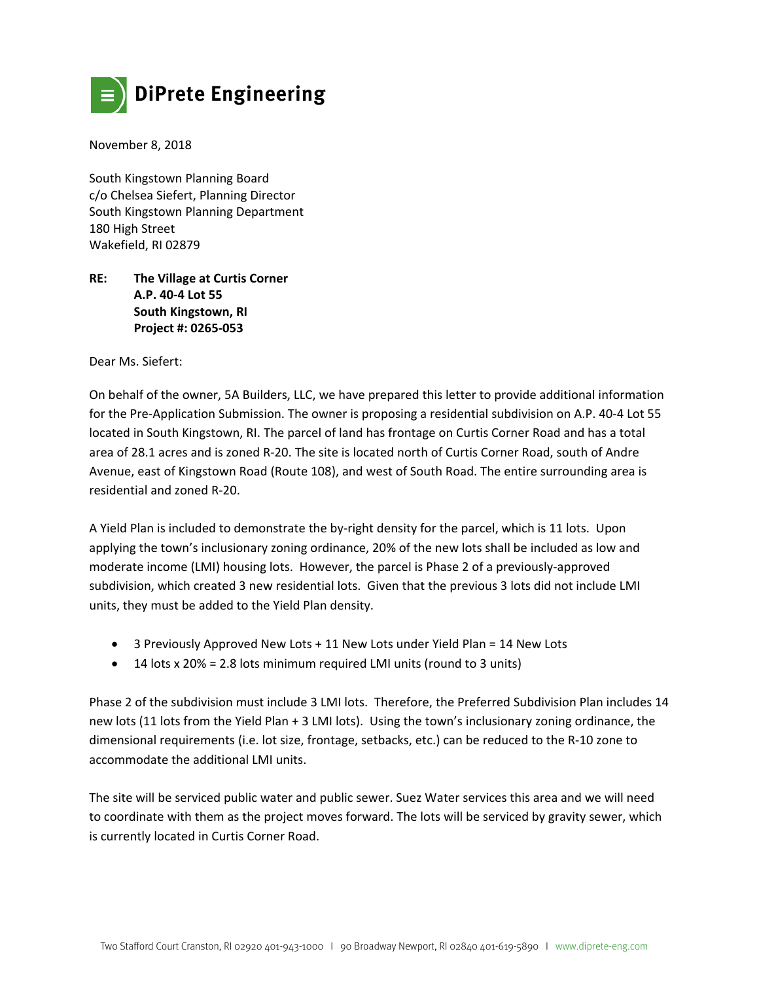

November 8, 2018

South Kingstown Planning Board c/o Chelsea Siefert, Planning Director South Kingstown Planning Department 180 High Street Wakefield, RI 02879

## **RE: The Village at Curtis Corner A.P. 40‐4 Lot 55 South Kingstown, RI Project #: 0265‐053**

Dear Ms. Siefert:

On behalf of the owner, 5A Builders, LLC, we have prepared this letter to provide additional information for the Pre‐Application Submission. The owner is proposing a residential subdivision on A.P. 40‐4 Lot 55 located in South Kingstown, RI. The parcel of land has frontage on Curtis Corner Road and has a total area of 28.1 acres and is zoned R-20. The site is located north of Curtis Corner Road, south of Andre Avenue, east of Kingstown Road (Route 108), and west of South Road. The entire surrounding area is residential and zoned R‐20.

A Yield Plan is included to demonstrate the by‐right density for the parcel, which is 11 lots. Upon applying the town's inclusionary zoning ordinance, 20% of the new lots shall be included as low and moderate income (LMI) housing lots. However, the parcel is Phase 2 of a previously‐approved subdivision, which created 3 new residential lots. Given that the previous 3 lots did not include LMI units, they must be added to the Yield Plan density.

- 3 Previously Approved New Lots + 11 New Lots under Yield Plan = 14 New Lots
- $\bullet$  14 lots x 20% = 2.8 lots minimum required LMI units (round to 3 units)

Phase 2 of the subdivision must include 3 LMI lots. Therefore, the Preferred Subdivision Plan includes 14 new lots (11 lots from the Yield Plan + 3 LMI lots). Using the town's inclusionary zoning ordinance, the dimensional requirements (i.e. lot size, frontage, setbacks, etc.) can be reduced to the R‐10 zone to accommodate the additional LMI units.

The site will be serviced public water and public sewer. Suez Water services this area and we will need to coordinate with them as the project moves forward. The lots will be serviced by gravity sewer, which is currently located in Curtis Corner Road.